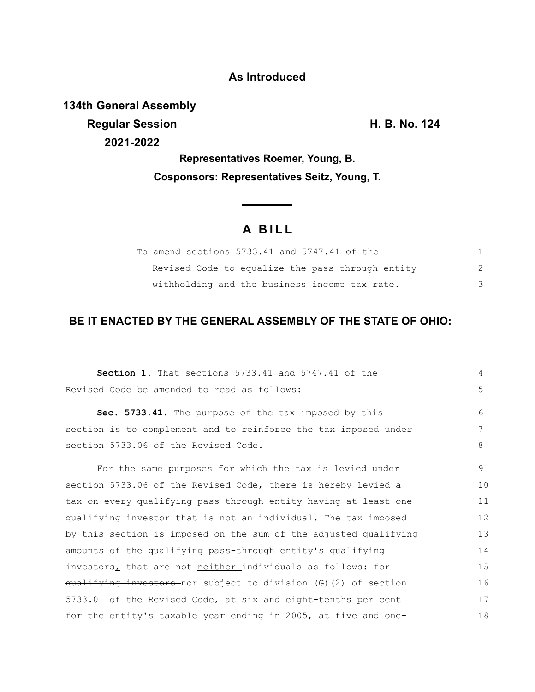### **As Introduced**

**134th General Assembly Regular Session H. B. No. 124 2021-2022**

**Representatives Roemer, Young, B. Cosponsors: Representatives Seitz, Young, T.**

# **A B I L L**

<u> The Common State Sta</u>te

| To amend sections 5733.41 and 5747.41 of the     |  |
|--------------------------------------------------|--|
| Revised Code to equalize the pass-through entity |  |
| withholding and the business income tax rate.    |  |

## **BE IT ENACTED BY THE GENERAL ASSEMBLY OF THE STATE OF OHIO:**

| <b>Section 1.</b> That sections 5733.41 and 5747.41 of the       | 4  |
|------------------------------------------------------------------|----|
| Revised Code be amended to read as follows:                      | 5  |
| Sec. 5733.41. The purpose of the tax imposed by this             | 6  |
| section is to complement and to reinforce the tax imposed under  | 7  |
| section 5733.06 of the Revised Code.                             | 8  |
| For the same purposes for which the tax is levied under          | 9  |
| section 5733.06 of the Revised Code, there is hereby levied a    | 10 |
| tax on every qualifying pass-through entity having at least one  | 11 |
| qualifying investor that is not an individual. The tax imposed   | 12 |
| by this section is imposed on the sum of the adjusted qualifying | 13 |
| amounts of the qualifying pass-through entity's qualifying       | 14 |
| investors, that are not neither individuals as follows: for      | 15 |
| qualifying investors nor subject to division (G) (2) of section  | 16 |
| 5733.01 of the Revised Code, at six and eight-tenths per cent-   | 17 |
| for the entity's taxable year ending in 2005, at five and one-   | 18 |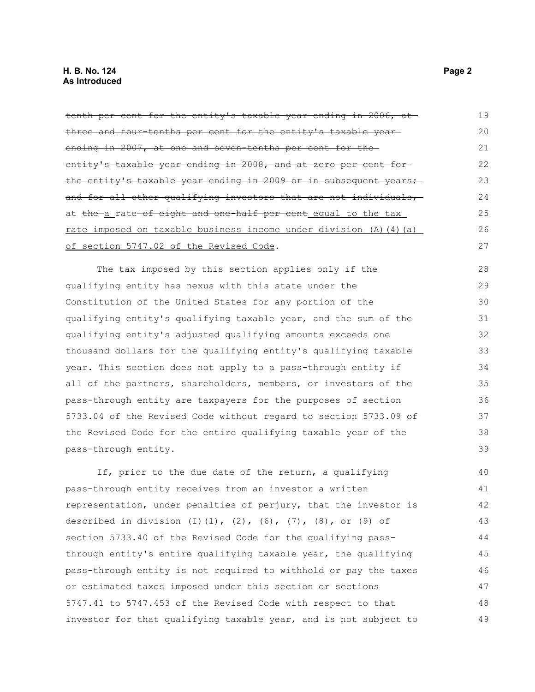#### **H. B. No. 124 Page 2 As Introduced**

| tenth per cent for the entity's taxable year ending in 2006, at               | 19 |
|-------------------------------------------------------------------------------|----|
| three and four-tenths per cent for the entity's taxable year-                 | 20 |
| ending in 2007, at one and seven-tenths per cent for the-                     | 21 |
| entity's taxable year ending in 2008, and at zero per cent for-               | 22 |
| the entity's taxable year ending in 2009 or in subsequent years;              | 23 |
| and for all other qualifying investors that are not individuals,              | 24 |
| at the a rate of eight and one half per cent equal to the tax                 | 25 |
| rate imposed on taxable business income under division (A) (4) (a)            | 26 |
| of section 5747.02 of the Revised Code.                                       | 27 |
| The tax imposed by this section applies only if the                           | 28 |
| qualifying entity has nexus with this state under the                         | 29 |
| Constitution of the United States for any portion of the                      | 30 |
| qualifying entity's qualifying taxable year, and the sum of the               | 31 |
| qualifying entity's adjusted qualifying amounts exceeds one                   | 32 |
| thousand dollars for the qualifying entity's qualifying taxable               | 33 |
| year. This section does not apply to a pass-through entity if                 | 34 |
| all of the partners, shareholders, members, or investors of the               | 35 |
| pass-through entity are taxpayers for the purposes of section                 | 36 |
| 5733.04 of the Revised Code without regard to section 5733.09 of              | 37 |
| the Revised Code for the entire qualifying taxable year of the                | 38 |
| pass-through entity.                                                          | 39 |
| If, prior to the due date of the return, a qualifying                         | 40 |
| pass-through entity receives from an investor a written                       | 41 |
| representation, under penalties of perjury, that the investor is              | 42 |
| described in division $(I) (1)$ , $(2)$ , $(6)$ , $(7)$ , $(8)$ , or $(9)$ of | 43 |
| section 5733.40 of the Revised Code for the qualifying pass-                  | 44 |
| through entity's entire qualifying taxable year, the qualifying               | 45 |
| pass-through entity is not required to withhold or pay the taxes              | 46 |
| or estimated taxes imposed under this section or sections                     | 47 |
| 5747.41 to 5747.453 of the Revised Code with respect to that                  | 48 |
| investor for that qualifying taxable year, and is not subject to              | 49 |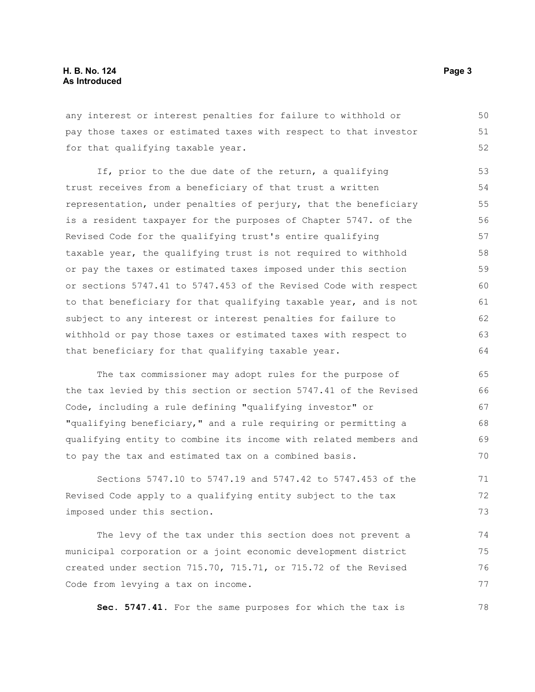any interest or interest penalties for failure to withhold or pay those taxes or estimated taxes with respect to that investor for that qualifying taxable year. 50 51 52

If, prior to the due date of the return, a qualifying trust receives from a beneficiary of that trust a written representation, under penalties of perjury, that the beneficiary is a resident taxpayer for the purposes of Chapter 5747. of the Revised Code for the qualifying trust's entire qualifying taxable year, the qualifying trust is not required to withhold or pay the taxes or estimated taxes imposed under this section or sections 5747.41 to 5747.453 of the Revised Code with respect to that beneficiary for that qualifying taxable year, and is not subject to any interest or interest penalties for failure to withhold or pay those taxes or estimated taxes with respect to that beneficiary for that qualifying taxable year. 53 54 55 56 57 58 59 60 61 62 63 64

The tax commissioner may adopt rules for the purpose of the tax levied by this section or section 5747.41 of the Revised Code, including a rule defining "qualifying investor" or "qualifying beneficiary," and a rule requiring or permitting a qualifying entity to combine its income with related members and to pay the tax and estimated tax on a combined basis.

Sections 5747.10 to 5747.19 and 5747.42 to 5747.453 of the Revised Code apply to a qualifying entity subject to the tax imposed under this section.

The levy of the tax under this section does not prevent a municipal corporation or a joint economic development district created under section 715.70, 715.71, or 715.72 of the Revised Code from levying a tax on income. 74 75 76 77

**Sec. 5747.41.** For the same purposes for which the tax is

78

71 72 73